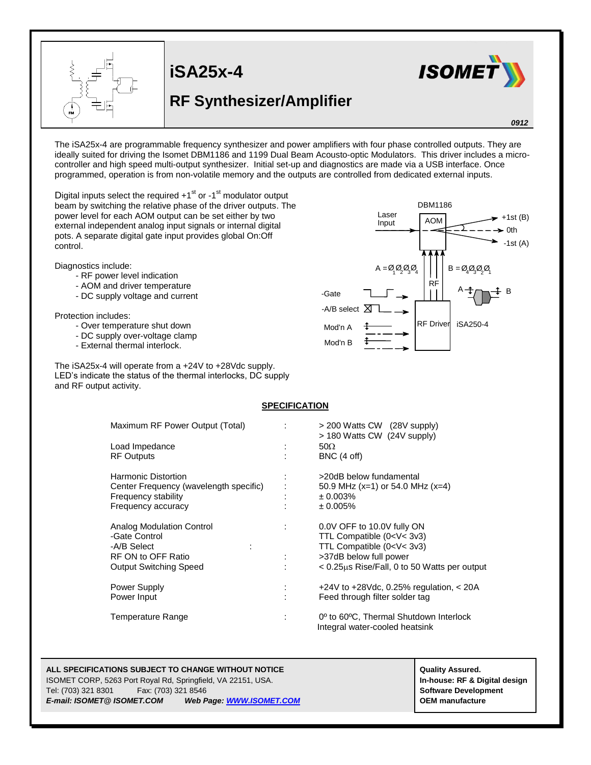

## **RF Synthesizer/Amplifier**



*0912*

The iSA25x-4 are programmable frequency synthesizer and power amplifiers with four phase controlled outputs. They are ideally suited for driving the Isomet DBM1186 and 1199 Dual Beam Acousto-optic Modulators. This driver includes a microcontroller and high speed multi-output synthesizer. Initial set-up and diagnostics are made via a USB interface. Once programmed, operation is from non-volatile memory and the outputs are controlled from dedicated external inputs.

Digital inputs select the required  $+1<sup>st</sup>$  or  $-1<sup>st</sup>$  modulator output beam by switching the relative phase of the driver outputs. The power level for each AOM output can be set either by two external independent analog input signals or internal digital pots. A separate digital gate input provides global On:Off control.

Diagnostics include:

- RF power level indication
- AOM and driver temperature
- DC supply voltage and current

Protection includes:

- Over temperature shut down
- DC supply over-voltage clamp
- External thermal interlock.

The iSA25x-4 will operate from a +24V to +28Vdc supply. LED's indicate the status of the thermal interlocks, DC supply and RF output activity.

## **SPECIFICATION**

| Maximum RF Power Output (Total)        | $>$ 200 Watts CW (28V supply)<br>> 180 Watts CW (24V supply)                                      |
|----------------------------------------|---------------------------------------------------------------------------------------------------|
| Load Impedance                         | $50\Omega$                                                                                        |
| <b>RF Outputs</b>                      | BNC (4 off)                                                                                       |
|                                        |                                                                                                   |
| Harmonic Distortion                    | >20dB below fundamental                                                                           |
| Center Frequency (wavelength specific) | 50.9 MHz (x=1) or 54.0 MHz (x=4)                                                                  |
| Frequency stability                    | ± 0.003%                                                                                          |
| Frequency accuracy                     | $± 0.005\%$                                                                                       |
| Analog Modulation Control              | 0.0V OFF to 10.0V fully ON                                                                        |
| -Gate Control                          | TTL Compatible (0 <v< 3v3)<="" td=""></v<>                                                        |
| -A/B Select<br>÷                       | TTL Compatible (0 <v< 3v3)<="" td=""></v<>                                                        |
| RF ON to OFF Ratio                     |                                                                                                   |
|                                        | >37dB below full power                                                                            |
| <b>Output Switching Speed</b>          | < 0.25μs Rise/Fall, 0 to 50 Watts per output                                                      |
| Power Supply                           | +24V to +28Vdc, 0.25% regulation, $<$ 20A                                                         |
| Power Input                            | Feed through filter solder tag                                                                    |
| Temperature Range                      | 0 <sup>°</sup> to 60 <sup>°</sup> C. Thermal Shutdown Interlock<br>Integral water-cooled heatsink |

## **ALL SPECIFICATIONS SUBJECT TO CHANGE WITHOUT NOTICE And CONTACT ASSURANT CONTRACT ASSURANT ASSURED.**

ISOMET CORP, 5263 Port Royal Rd, Springfield, VA 22151, USA. **In-house: RF & Digital design** Tel: (703) 321 8301 Fax: (703) 321 8546 **Software Development** *E-mail: ISOMET@ ISOMET.COM Web Page: WWW.ISOMET.COM* **OEM manufacture**